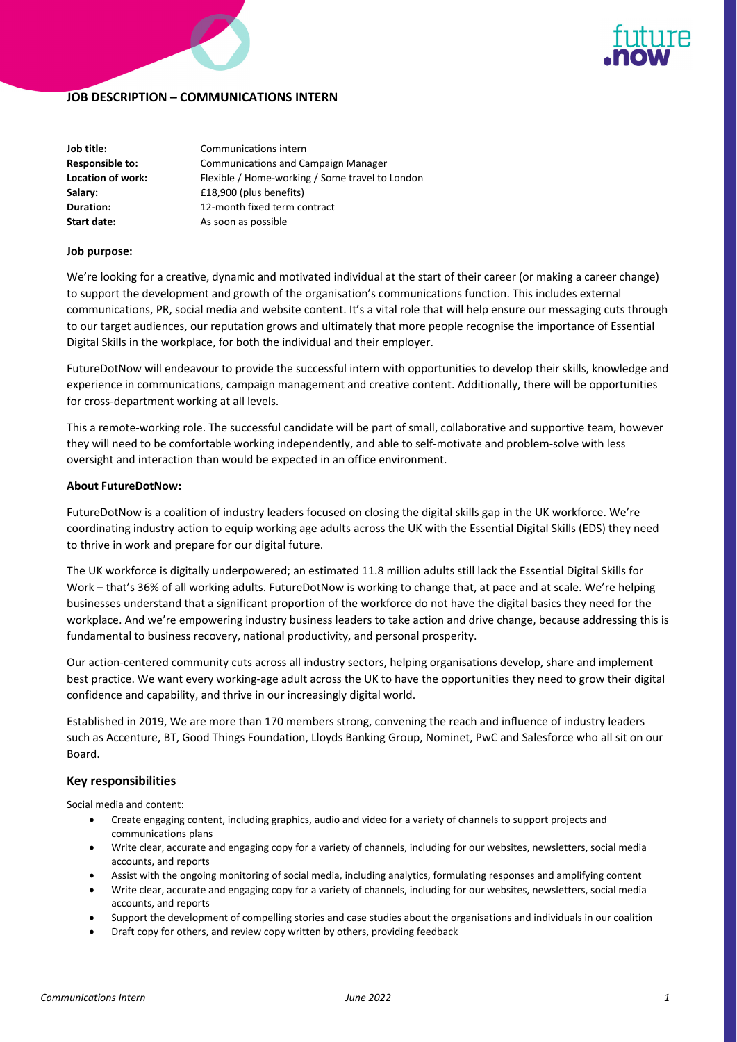



# **JOB DESCRIPTION – COMMUNICATIONS INTERN**

| Job title:             | Communications intern                           |
|------------------------|-------------------------------------------------|
| <b>Responsible to:</b> | <b>Communications and Campaign Manager</b>      |
| Location of work:      | Flexible / Home-working / Some travel to London |
| Salary:                | £18,900 (plus benefits)                         |
| Duration:              | 12-month fixed term contract                    |
| Start date:            | As soon as possible                             |

### **Job purpose:**

We're looking for a creative, dynamic and motivated individual at the start of their career (or making a career change) to support the development and growth of the organisation's communications function. This includes external communications, PR, social media and website content. It's a vital role that will help ensure our messaging cuts through to our target audiences, our reputation grows and ultimately that more people recognise the importance of Essential Digital Skills in the workplace, for both the individual and their employer.

FutureDotNow will endeavour to provide the successful intern with opportunities to develop their skills, knowledge and experience in communications, campaign management and creative content. Additionally, there will be opportunities for cross‐department working at all levels.

This a remote‐working role. The successful candidate will be part of small, collaborative and supportive team, however they will need to be comfortable working independently, and able to self-motivate and problem-solve with less oversight and interaction than would be expected in an office environment.

### **About FutureDotNow:**

FutureDotNow is a coalition of industry leaders focused on closing the digital skills gap in the UK workforce. We're coordinating industry action to equip working age adults across the UK with the Essential Digital Skills (EDS) they need to thrive in work and prepare for our digital future.

The UK workforce is digitally underpowered; an estimated 11.8 million adults still lack the Essential Digital Skills for Work – that's 36% of all working adults. FutureDotNow is working to change that, at pace and at scale. We're helping businesses understand that a significant proportion of the workforce do not have the digital basics they need for the workplace. And we're empowering industry business leaders to take action and drive change, because addressing this is fundamental to business recovery, national productivity, and personal prosperity.

Our action‐centered community cuts across all industry sectors, helping organisations develop, share and implement best practice. We want every working-age adult across the UK to have the opportunities they need to grow their digital confidence and capability, and thrive in our increasingly digital world.

Established in 2019, We are more than 170 members strong, convening the reach and influence of industry leaders such as Accenture, BT, Good Things Foundation, Lloyds Banking Group, Nominet, PwC and Salesforce who all sit on our Board.

# **Key responsibilities**

Social media and content:

- Create engaging content, including graphics, audio and video for a variety of channels to support projects and communications plans
- Write clear, accurate and engaging copy for a variety of channels, including for our websites, newsletters, social media accounts, and reports
- Assist with the ongoing monitoring of social media, including analytics, formulating responses and amplifying content
- Write clear, accurate and engaging copy for a variety of channels, including for our websites, newsletters, social media accounts, and reports
- Support the development of compelling stories and case studies about the organisations and individuals in our coalition
- Draft copy for others, and review copy written by others, providing feedback